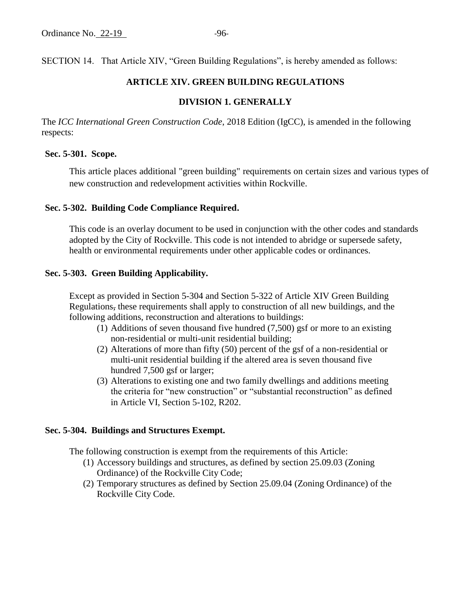SECTION 14. That Article XIV, "Green Building Regulations", is hereby amended as follows:

## **ARTICLE XIV. GREEN BUILDING REGULATIONS**

## **DIVISION 1. GENERALLY**

The *ICC International Green Construction Code*, 2018 Edition (IgCC), is amended in the following respects:

#### **Sec. 5-301. Scope.**

This article places additional "green building" requirements on certain sizes and various types of new construction and redevelopment activities within Rockville.

## **Sec. 5-302. Building Code Compliance Required.**

This code is an overlay document to be used in conjunction with the other codes and standards adopted by the City of Rockville. This code is not intended to abridge or supersede safety, health or environmental requirements under other applicable codes or ordinances.

### **Sec. 5-303. Green Building Applicability.**

Except as provided in Section 5-304 and Section 5-322 of Article XIV Green Building Regulations, these requirements shall apply to construction of all new buildings, and the following additions, reconstruction and alterations to buildings:

- (1) Additions of seven thousand five hundred (7,500) gsf or more to an existing non-residential or multi-unit residential building;
- (2) Alterations of more than fifty (50) percent of the gsf of a non-residential or multi-unit residential building if the altered area is seven thousand five hundred 7,500 gsf or larger;
- (3) Alterations to existing one and two family dwellings and additions meeting the criteria for "new construction" or "substantial reconstruction" as defined in Article VI, Section 5-102, R202.

#### **Sec. 5-304. Buildings and Structures Exempt.**

The following construction is exempt from the requirements of this Article:

- (1) Accessory buildings and structures, as defined by section 25.09.03 (Zoning Ordinance) of the Rockville City Code;
- (2) Temporary structures as defined by Section 25.09.04 (Zoning Ordinance) of the Rockville City Code.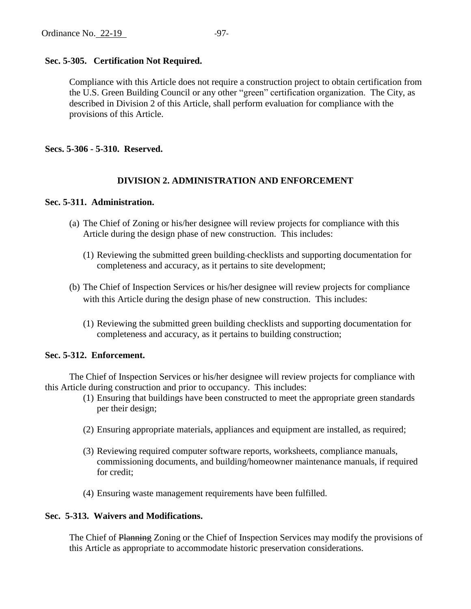## **Sec. 5-305. Certification Not Required.**

Compliance with this Article does not require a construction project to obtain certification from the U.S. Green Building Council or any other "green" certification organization. The City, as described in Division 2 of this Article, shall perform evaluation for compliance with the provisions of this Article.

**Secs. 5-306 - 5-310. Reserved.**

## **DIVISION 2. ADMINISTRATION AND ENFORCEMENT**

## **Sec. 5-311. Administration.**

- (a) The Chief of Zoning or his/her designee will review projects for compliance with this Article during the design phase of new construction. This includes:
	- (1) Reviewing the submitted green building checklists and supporting documentation for completeness and accuracy, as it pertains to site development;
- (b) The Chief of Inspection Services or his/her designee will review projects for compliance with this Article during the design phase of new construction. This includes:
	- (1) Reviewing the submitted green building checklists and supporting documentation for completeness and accuracy, as it pertains to building construction;

## **Sec. 5-312. Enforcement.**

The Chief of Inspection Services or his/her designee will review projects for compliance with this Article during construction and prior to occupancy. This includes:

- (1) Ensuring that buildings have been constructed to meet the appropriate green standards per their design;
- (2) Ensuring appropriate materials, appliances and equipment are installed, as required;
- (3) Reviewing required computer software reports, worksheets, compliance manuals, commissioning documents, and building/homeowner maintenance manuals, if required for credit;
- (4) Ensuring waste management requirements have been fulfilled.

## **Sec. 5-313. Waivers and Modifications.**

The Chief of Planning Zoning or the Chief of Inspection Services may modify the provisions of this Article as appropriate to accommodate historic preservation considerations.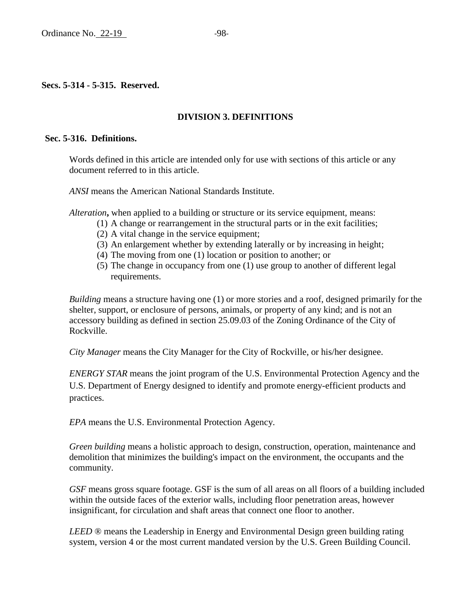# **DIVISION 3. DEFINITIONS**

## **Sec. 5-316. Definitions.**

Words defined in this article are intended only for use with sections of this article or any document referred to in this article.

*ANSI* means the American National Standards Institute.

*Alteration***,** when applied to a building or structure or its service equipment, means:

- (1) A change or rearrangement in the structural parts or in the exit facilities;
- (2) A vital change in the service equipment;
- (3) An enlargement whether by extending laterally or by increasing in height;
- (4) The moving from one (1) location or position to another; or
- (5) The change in occupancy from one (1) use group to another of different legal requirements.

*Building* means a structure having one (1) or more stories and a roof, designed primarily for the shelter, support, or enclosure of persons, animals, or property of any kind; and is not an accessory building as defined in section 25.09.03 of the Zoning Ordinance of the City of Rockville.

*City Manager* means the City Manager for the City of Rockville, or his/her designee.

*ENERGY STAR* means the joint program of the U.S. Environmental Protection Agency and the U.S. Department of Energy designed to identify and promote energy-efficient products and practices.

*EPA* means the U.S. Environmental Protection Agency.

*Green building* means a holistic approach to design, construction, operation, maintenance and demolition that minimizes the building's impact on the environment, the occupants and the community.

*GSF* means gross square footage. GSF is the sum of all areas on all floors of a building included within the outside faces of the exterior walls, including floor penetration areas, however insignificant, for circulation and shaft areas that connect one floor to another.

*LEED* ® means the Leadership in Energy and Environmental Design green building rating system, version 4 or the most current mandated version by the U.S. Green Building Council.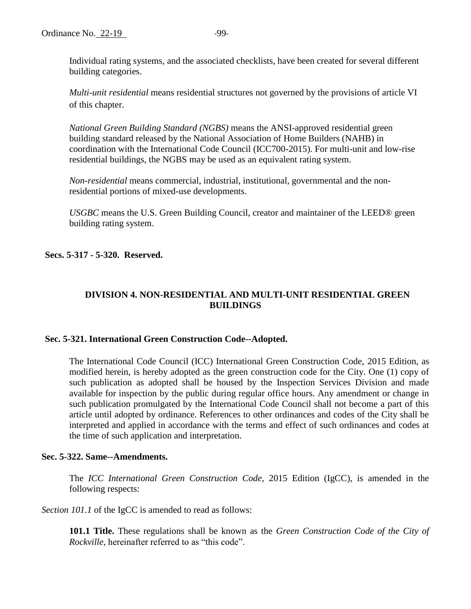Individual rating systems, and the associated checklists, have been created for several different building categories.

*Multi-unit residential* means residential structures not governed by the provisions of article VI of this chapter.

*National Green Building Standard (NGBS)* means the ANSI-approved residential green building standard released by the National Association of Home Builders (NAHB) in coordination with the International Code Council (ICC700-2015). For multi-unit and low-rise residential buildings, the NGBS may be used as an equivalent rating system.

*Non-residential* means commercial, industrial, institutional, governmental and the nonresidential portions of mixed-use developments.

*USGBC* means the U.S. Green Building Council, creator and maintainer of the LEED® green building rating system.

**Secs. 5-317 - 5-320. Reserved.**

# **DIVISION 4. NON-RESIDENTIAL AND MULTI-UNIT RESIDENTIAL GREEN BUILDINGS**

## **Sec. 5-321. International Green Construction Code--Adopted.**

The International Code Council (ICC) International Green Construction Code, 2015 Edition, as modified herein, is hereby adopted as the green construction code for the City. One (1) copy of such publication as adopted shall be housed by the Inspection Services Division and made available for inspection by the public during regular office hours. Any amendment or change in such publication promulgated by the International Code Council shall not become a part of this article until adopted by ordinance. References to other ordinances and codes of the City shall be interpreted and applied in accordance with the terms and effect of such ordinances and codes at the time of such application and interpretation.

## **Sec. 5-322. Same--Amendments.**

The *ICC International Green Construction Code*, 2015 Edition (IgCC), is amended in the following respects:

*Section 101.1* of the IgCC is amended to read as follows:

**101.1 Title.** These regulations shall be known as the *Green Construction Code of the City of Rockville*, hereinafter referred to as "this code".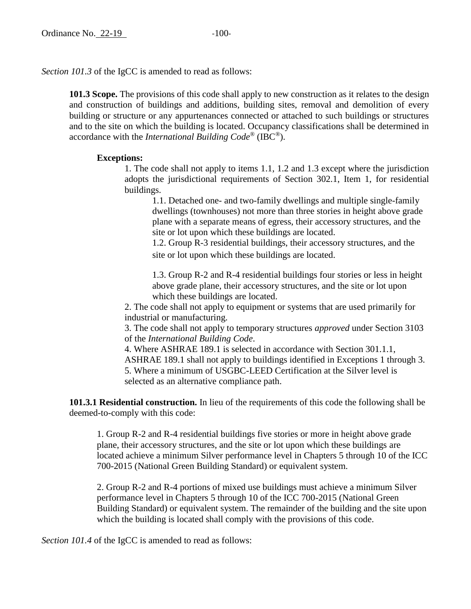*Section 101.3* of the IgCC is amended to read as follows:

**101.3 Scope.** The provisions of this code shall apply to new construction as it relates to the design and construction of buildings and additions, building sites, removal and demolition of every building or structure or any appurtenances connected or attached to such buildings or structures and to the site on which the building is located. Occupancy classifications shall be determined in accordance with the *International Building Code®* (IBC®).

### **Exceptions:**

1. The code shall not apply to items 1.1, 1.2 and 1.3 except where the jurisdiction adopts the jurisdictional requirements of Section 302.1, Item 1, for residential buildings.

1.1. Detached one- and two-family dwellings and multiple single-family dwellings (townhouses) not more than three stories in height above grade plane with a separate means of egress, their accessory structures, and the site or lot upon which these buildings are located.

1.2. Group R-3 residential buildings, their accessory structures, and the site or lot upon which these buildings are located.

1.3. Group R-2 and R-4 residential buildings four stories or less in height above grade plane, their accessory structures, and the site or lot upon which these buildings are located.

2. The code shall not apply to equipment or systems that are used primarily for industrial or manufacturing.

3. The code shall not apply to temporary structures *approved* under Section 3103 of the *International Building Code*.

4. Where ASHRAE 189.1 is selected in accordance with Section 301.1.1, ASHRAE 189.1 shall not apply to buildings identified in Exceptions 1 through 3. 5. Where a minimum of USGBC-LEED Certification at the Silver level is selected as an alternative compliance path.

**101.3.1 Residential construction.** In lieu of the requirements of this code the following shall be deemed-to-comply with this code:

1. Group R-2 and R-4 residential buildings five stories or more in height above grade plane, their accessory structures, and the site or lot upon which these buildings are located achieve a minimum Silver performance level in Chapters 5 through 10 of the ICC 700-2015 (National Green Building Standard) or equivalent system.

2. Group R-2 and R-4 portions of mixed use buildings must achieve a minimum Silver performance level in Chapters 5 through 10 of the ICC 700-2015 (National Green Building Standard) or equivalent system. The remainder of the building and the site upon which the building is located shall comply with the provisions of this code.

*Section 101.4* of the IgCC is amended to read as follows: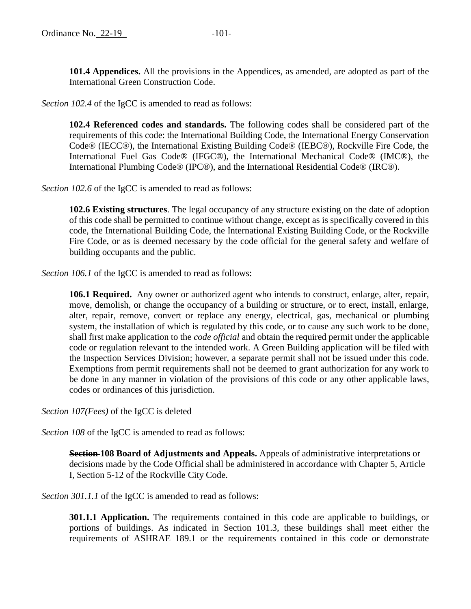**101.4 Appendices.** All the provisions in the Appendices, as amended, are adopted as part of the International Green Construction Code.

*Section 102.4* of the IgCC is amended to read as follows:

**102.4 Referenced codes and standards.** The following codes shall be considered part of the requirements of this code: the International Building Code, the International Energy Conservation Code® (IECC®), the International Existing Building Code® (IEBC®), Rockville Fire Code, the International Fuel Gas Code® (IFGC®), the International Mechanical Code® (IMC®), the International Plumbing Code® (IPC®), and the International Residential Code® (IRC®).

*Section 102.6* of the IgCC is amended to read as follows:

**102.6 Existing structures**. The legal occupancy of any structure existing on the date of adoption of this code shall be permitted to continue without change, except as is specifically covered in this code, the International Building Code, the International Existing Building Code, or the Rockville Fire Code, or as is deemed necessary by the code official for the general safety and welfare of building occupants and the public.

*Section 106.1* of the IgCC is amended to read as follows:

**106.1 Required.** Any owner or authorized agent who intends to construct, enlarge, alter, repair, move, demolish, or change the occupancy of a building or structure, or to erect, install, enlarge, alter, repair, remove, convert or replace any energy, electrical, gas, mechanical or plumbing system, the installation of which is regulated by this code, or to cause any such work to be done, shall first make application to the *code official* and obtain the required permit under the applicable code or regulation relevant to the intended work. A Green Building application will be filed with the Inspection Services Division; however, a separate permit shall not be issued under this code. Exemptions from permit requirements shall not be deemed to grant authorization for any work to be done in any manner in violation of the provisions of this code or any other applicable laws, codes or ordinances of this jurisdiction.

*Section 107(Fees)* of the IgCC is deleted

*Section 108* of the IgCC is amended to read as follows:

**Section 108 Board of Adjustments and Appeals.** Appeals of administrative interpretations or decisions made by the Code Official shall be administered in accordance with Chapter 5, Article I, Section 5-12 of the Rockville City Code.

*Section 301.1.1* of the IgCC is amended to read as follows:

**301.1.1 Application.** The requirements contained in this code are applicable to buildings, or portions of buildings. As indicated in Section 101.3, these buildings shall meet either the requirements of ASHRAE 189.1 or the requirements contained in this code or demonstrate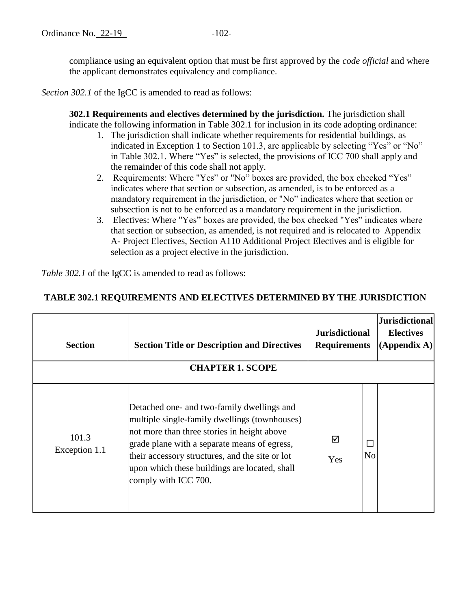compliance using an equivalent option that must be first approved by the *code official* and where the applicant demonstrates equivalency and compliance.

*Section 302.1* of the IgCC is amended to read as follows:

**302.1 Requirements and electives determined by the jurisdiction.** The jurisdiction shall indicate the following information in Table 302.1 for inclusion in its code adopting ordinance:

- 1. The jurisdiction shall indicate whether requirements for residential buildings, as indicated in Exception 1 to Section 101.3, are applicable by selecting "Yes" or "No" in Table 302.1. Where "Yes" is selected, the provisions of ICC 700 shall apply and the remainder of this code shall not apply.
- 2. Requirements: Where "Yes" or "No" boxes are provided, the box checked "Yes" indicates where that section or subsection, as amended, is to be enforced as a mandatory requirement in the jurisdiction, or "No" indicates where that section or subsection is not to be enforced as a mandatory requirement in the jurisdiction.
- 3. Electives: Where "Yes" boxes are provided, the box checked "Yes" indicates where that section or subsection, as amended, is not required and is relocated to Appendix A- Project Electives, Section A110 Additional Project Electives and is eligible for selection as a project elective in the jurisdiction.

*Table 302.1* of the IgCC is amended to read as follows:

# **TABLE 302.1 REQUIREMENTS AND ELECTIVES DETERMINED BY THE JURISDICTION**

| <b>Section</b>         | <b>Section Title or Description and Directives</b><br><b>CHAPTER 1. SCOPE</b>                                                                                                                                                                                                                                          | <b>Jurisdictional</b><br><b>Requirements</b> |                     | Jurisdictional<br><b>Electives</b><br>$(A$ ppendix A) |
|------------------------|------------------------------------------------------------------------------------------------------------------------------------------------------------------------------------------------------------------------------------------------------------------------------------------------------------------------|----------------------------------------------|---------------------|-------------------------------------------------------|
| 101.3<br>Exception 1.1 | Detached one- and two-family dwellings and<br>multiple single-family dwellings (townhouses)<br>not more than three stories in height above<br>grade plane with a separate means of egress,<br>their accessory structures, and the site or lot<br>upon which these buildings are located, shall<br>comply with ICC 700. | ☑<br>Yes                                     | Г<br>N <sub>0</sub> |                                                       |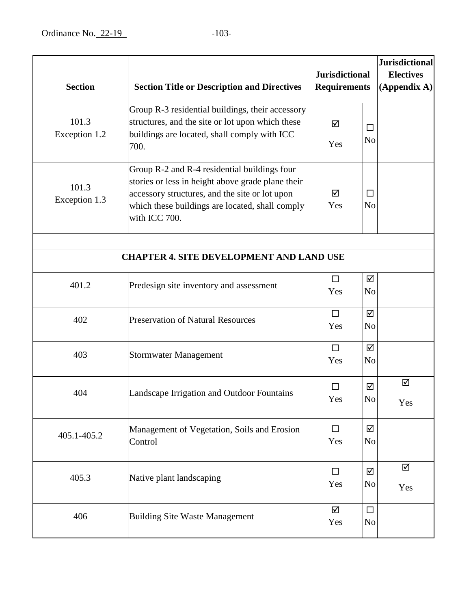| <b>Section</b>         | <b>Section Title or Description and Directives</b>                                                                                                                                                                      | <b>Jurisdictional</b><br><b>Requirements</b> |                          |          |  | <b>Jurisdictional</b><br><b>Electives</b><br>(Appendix A) |
|------------------------|-------------------------------------------------------------------------------------------------------------------------------------------------------------------------------------------------------------------------|----------------------------------------------|--------------------------|----------|--|-----------------------------------------------------------|
| 101.3<br>Exception 1.2 | Group R-3 residential buildings, their accessory<br>structures, and the site or lot upon which these<br>buildings are located, shall comply with ICC<br>700.                                                            | ☑<br>Yes                                     | $\Box$<br>N <sub>o</sub> |          |  |                                                           |
| 101.3<br>Exception 1.3 | Group R-2 and R-4 residential buildings four<br>stories or less in height above grade plane their<br>accessory structures, and the site or lot upon<br>which these buildings are located, shall comply<br>with ICC 700. | ☑<br>Yes                                     | N <sub>o</sub>           |          |  |                                                           |
|                        | <b>CHAPTER 4. SITE DEVELOPMENT AND LAND USE</b>                                                                                                                                                                         |                                              |                          |          |  |                                                           |
| 401.2                  | Predesign site inventory and assessment                                                                                                                                                                                 | $\Box$<br>Yes                                | ☑<br>N <sub>o</sub>      |          |  |                                                           |
| 402                    | <b>Preservation of Natural Resources</b>                                                                                                                                                                                | $\Box$<br>Yes                                | ☑<br>N <sub>o</sub>      |          |  |                                                           |
| 403                    | <b>Stormwater Management</b>                                                                                                                                                                                            | $\Box$<br>Yes                                | ☑<br>N <sub>o</sub>      |          |  |                                                           |
| 404                    | Landscape Irrigation and Outdoor Fountains                                                                                                                                                                              | П<br>Yes                                     | ☑<br>No                  | ☑<br>Yes |  |                                                           |
| 405.1-405.2            | Management of Vegetation, Soils and Erosion<br>Control                                                                                                                                                                  | $\Box$<br>Yes                                | ☑<br>N <sub>0</sub>      |          |  |                                                           |
| 405.3                  | Native plant landscaping                                                                                                                                                                                                | $\Box$<br>Yes                                | ☑<br>N <sub>o</sub>      | ☑<br>Yes |  |                                                           |
| 406                    | <b>Building Site Waste Management</b>                                                                                                                                                                                   | ☑<br>Yes                                     | $\Box$<br>N <sub>0</sub> |          |  |                                                           |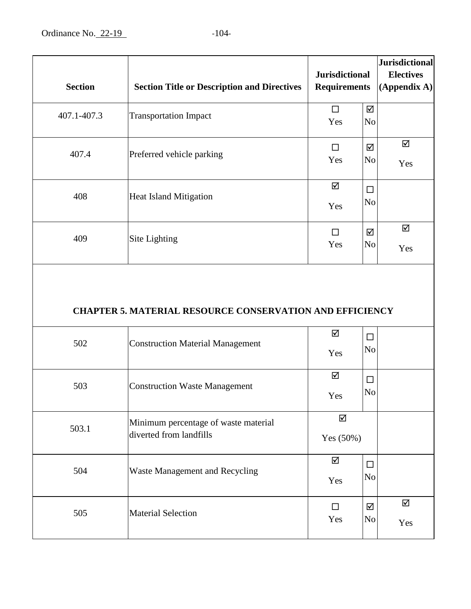| <b>Section</b> | <b>Section Title or Description and Directives</b>              | <b>Jurisdictional</b><br><b>Requirements</b> |                          | <b>Jurisdictional</b><br><b>Electives</b><br>$(A$ ppendix A) |
|----------------|-----------------------------------------------------------------|----------------------------------------------|--------------------------|--------------------------------------------------------------|
| 407.1-407.3    | <b>Transportation Impact</b>                                    | $\Box$<br>Yes                                | ☑<br>N <sub>0</sub>      |                                                              |
| 407.4          | Preferred vehicle parking                                       | $\Box$<br>Yes                                | ☑<br>No                  | ☑<br>Yes                                                     |
| 408            | <b>Heat Island Mitigation</b>                                   | ☑<br>Yes                                     | $\Box$<br>N <sub>o</sub> |                                                              |
| 409            | Site Lighting                                                   | □<br>Yes                                     | ☑<br>N <sub>o</sub>      | ☑<br>Yes                                                     |
|                | <b>CHAPTER 5. MATERIAL RESOURCE CONSERVATION AND EFFICIENCY</b> |                                              |                          |                                                              |
| 502            | <b>Construction Material Management</b>                         | ☑<br>Yes                                     | $\Box$<br>No             |                                                              |
| 503            | <b>Construction Waste Management</b>                            | ☑<br>Yes                                     | $\Box$<br>No             |                                                              |
| 503.1          | Minimum percentage of waste material<br>diverted from landfills | ☑<br>Yes (50%)                               |                          |                                                              |
| 504            | Waste Management and Recycling                                  | ☑<br>Yes                                     | $\Box$<br>N <sub>o</sub> |                                                              |
| 505            | <b>Material Selection</b>                                       | $\Box$<br>Yes                                | ☑<br>No                  | ☑<br>Yes                                                     |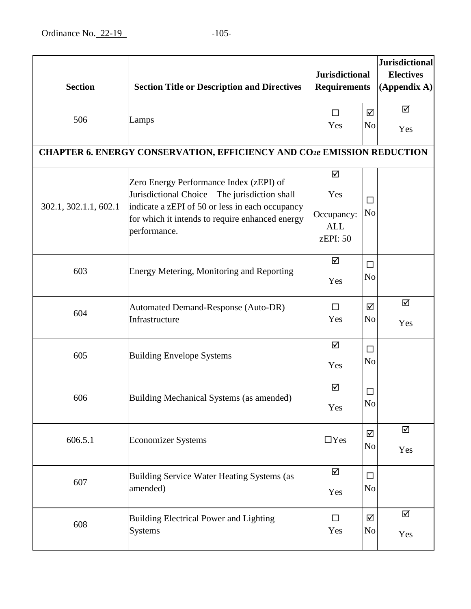| <b>Section</b>        | <b>Section Title or Description and Directives</b>                                                                                                                                                              | <b>Jurisdictional</b><br><b>Requirements</b>     |                          |          |  | <b>Jurisdictional</b><br><b>Electives</b><br>(Appendix A) |
|-----------------------|-----------------------------------------------------------------------------------------------------------------------------------------------------------------------------------------------------------------|--------------------------------------------------|--------------------------|----------|--|-----------------------------------------------------------|
| 506                   | Lamps                                                                                                                                                                                                           | $\Box$<br>Yes                                    | ☑<br>N <sub>o</sub>      | ☑<br>Yes |  |                                                           |
|                       | <b>CHAPTER 6. ENERGY CONSERVATION, EFFICIENCY AND CO2e EMISSION REDUCTION</b>                                                                                                                                   |                                                  |                          |          |  |                                                           |
| 302.1, 302.1.1, 602.1 | Zero Energy Performance Index (zEPI) of<br>Jurisdictional Choice - The jurisdiction shall<br>indicate a zEPI of 50 or less in each occupancy<br>for which it intends to require enhanced energy<br>performance. | ☑<br>Yes<br>Occupancy:<br><b>ALL</b><br>zEPI: 50 | $\Box$<br>N <sub>o</sub> |          |  |                                                           |
| 603                   | Energy Metering, Monitoring and Reporting                                                                                                                                                                       | ☑<br>Yes                                         | $\Box$<br>N <sub>o</sub> |          |  |                                                           |
| 604                   | <b>Automated Demand-Response (Auto-DR)</b><br>Infrastructure                                                                                                                                                    | $\Box$<br>Yes                                    | ☑<br>N <sub>0</sub>      | ☑<br>Yes |  |                                                           |
| 605                   | <b>Building Envelope Systems</b>                                                                                                                                                                                | ☑<br>Yes                                         | □<br>N <sub>o</sub>      |          |  |                                                           |
| 606                   | Building Mechanical Systems (as amended)                                                                                                                                                                        | ☑<br>Yes                                         | $\Box$<br>No             |          |  |                                                           |
| 606.5.1               | <b>Economizer Systems</b>                                                                                                                                                                                       | $\Box$ Yes                                       | ☑<br>N <sub>0</sub>      | ☑<br>Yes |  |                                                           |
| 607                   | Building Service Water Heating Systems (as<br>amended)                                                                                                                                                          | ☑<br>Yes                                         | $\Box$<br>No             |          |  |                                                           |
| 608                   | <b>Building Electrical Power and Lighting</b><br>Systems                                                                                                                                                        | $\Box$<br>Yes                                    | ☑<br>N <sub>0</sub>      | ☑<br>Yes |  |                                                           |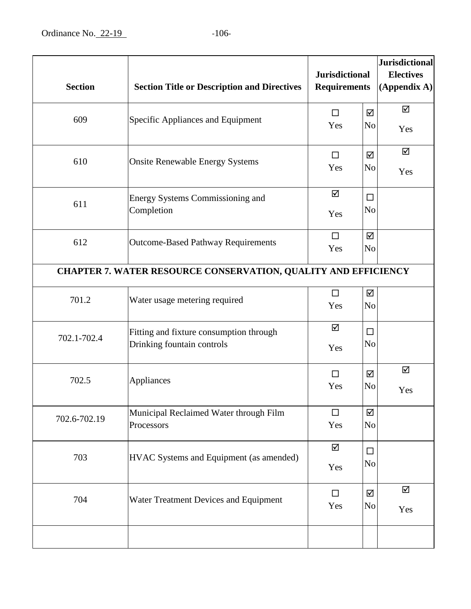| <b>Section</b> | <b>Section Title or Description and Directives</b>                    | <b>Jurisdictional</b><br><b>Requirements</b> | <b>Jurisdictional</b><br><b>Electives</b><br>$(A$ ppendix A) |
|----------------|-----------------------------------------------------------------------|----------------------------------------------|--------------------------------------------------------------|
| 609            | Specific Appliances and Equipment                                     | $\Box$<br>Yes                                | ☑<br>☑<br>N <sub>o</sub><br>Yes                              |
| 610            | <b>Onsite Renewable Energy Systems</b>                                | $\Box$<br>Yes                                | ☑<br>☑<br>N <sub>0</sub><br>Yes                              |
| 611            | Energy Systems Commissioning and<br>Completion                        | ☑<br>Yes                                     | □<br>No                                                      |
| 612            | <b>Outcome-Based Pathway Requirements</b>                             | $\Box$<br>Yes                                | ☑<br>N <sub>o</sub>                                          |
|                | CHAPTER 7. WATER RESOURCE CONSERVATION, QUALITY AND EFFICIENCY        |                                              |                                                              |
| 701.2          | Water usage metering required                                         | $\Box$<br>Yes                                | ☑<br>No                                                      |
| 702.1-702.4    | Fitting and fixture consumption through<br>Drinking fountain controls | ☑<br>Yes                                     | П<br>No                                                      |
| 702.5          | Appliances                                                            | П<br>Yes                                     | ☑<br>☑<br>No<br>Yes                                          |
| 702.6-702.19   | Municipal Reclaimed Water through Film<br>Processors                  | $\Box$<br>Yes                                | ☑<br>N <sub>o</sub>                                          |
| 703            | HVAC Systems and Equipment (as amended)                               | ☑<br>Yes                                     | □<br>No                                                      |
| 704            | Water Treatment Devices and Equipment                                 | $\Box$<br>Yes                                | ☑<br>☑<br>No<br>Yes                                          |
|                |                                                                       |                                              |                                                              |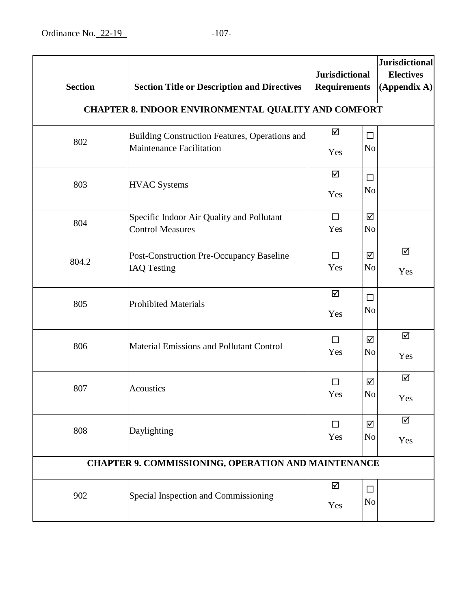| <b>Section</b> | <b>Section Title or Description and Directives</b>                                | <b>Jurisdictional</b><br><b>Requirements</b> |                          |          |  | <b>Jurisdictional</b><br><b>Electives</b><br>$(A$ ppendix A) |
|----------------|-----------------------------------------------------------------------------------|----------------------------------------------|--------------------------|----------|--|--------------------------------------------------------------|
|                | CHAPTER 8. INDOOR ENVIRONMENTAL QUALITY AND COMFORT                               |                                              |                          |          |  |                                                              |
| 802            | Building Construction Features, Operations and<br><b>Maintenance Facilitation</b> | ☑<br>Yes                                     | $\Box$<br>N <sub>0</sub> |          |  |                                                              |
| 803            | <b>HVAC Systems</b>                                                               | ☑<br>Yes                                     | $\Box$<br>No             |          |  |                                                              |
| 804            | Specific Indoor Air Quality and Pollutant<br><b>Control Measures</b>              | $\Box$<br>Yes                                | ☑<br>N <sub>o</sub>      |          |  |                                                              |
| 804.2          | <b>Post-Construction Pre-Occupancy Baseline</b><br><b>IAQ Testing</b>             | $\Box$<br>Yes                                | ☑<br>N <sub>0</sub>      | ☑<br>Yes |  |                                                              |
| 805            | <b>Prohibited Materials</b>                                                       | ☑<br>Yes                                     | $\Box$<br>N <sub>o</sub> |          |  |                                                              |
| 806            | Material Emissions and Pollutant Control                                          | $\Box$<br>Yes                                | ☑<br>N <sub>0</sub>      | ☑<br>Yes |  |                                                              |
| 807            | Acoustics                                                                         | П<br>Yes                                     | ☑<br>N <sub>o</sub>      | ☑<br>Yes |  |                                                              |
| 808            | Daylighting                                                                       | $\Box$<br>Yes                                | ☑<br>N <sub>o</sub>      | ☑<br>Yes |  |                                                              |
|                | CHAPTER 9. COMMISSIONING, OPERATION AND MAINTENANCE                               |                                              |                          |          |  |                                                              |
| 902            | Special Inspection and Commissioning                                              | ☑<br>Yes                                     | $\Box$<br>No             |          |  |                                                              |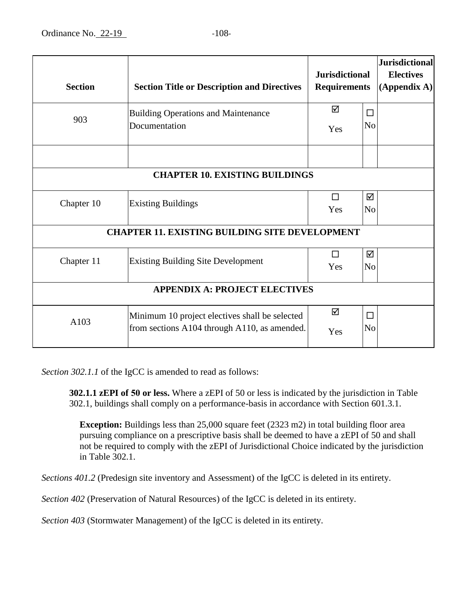| <b>Section</b>                       | <b>Section Title or Description and Directives</b>                                             | <b>Jurisdictional</b><br><b>Requirements</b> |                     | <b>Jurisdictional</b><br><b>Electives</b><br>(Appendix A) |  |
|--------------------------------------|------------------------------------------------------------------------------------------------|----------------------------------------------|---------------------|-----------------------------------------------------------|--|
| 903                                  | <b>Building Operations and Maintenance</b><br>Documentation                                    | ☑<br>Yes                                     | П<br>N <sub>o</sub> |                                                           |  |
|                                      |                                                                                                |                                              |                     |                                                           |  |
|                                      | <b>CHAPTER 10. EXISTING BUILDINGS</b>                                                          |                                              |                     |                                                           |  |
| Chapter 10                           | <b>Existing Buildings</b>                                                                      | □<br>Yes                                     | ☑<br>N <sub>o</sub> |                                                           |  |
|                                      | <b>CHAPTER 11. EXISTING BUILDING SITE DEVELOPMENT</b>                                          |                                              |                     |                                                           |  |
| Chapter 11                           | <b>Existing Building Site Development</b>                                                      | П<br>Yes                                     | ☑<br>N <sub>o</sub> |                                                           |  |
| <b>APPENDIX A: PROJECT ELECTIVES</b> |                                                                                                |                                              |                     |                                                           |  |
| A103                                 | Minimum 10 project electives shall be selected<br>from sections A104 through A110, as amended. | ☑<br>Yes                                     | □<br>N <sub>o</sub> |                                                           |  |

*Section 302.1.1* of the IgCC is amended to read as follows:

**302.1.1 zEPI of 50 or less.** Where a zEPI of 50 or less is indicated by the jurisdiction in Table 302.1, buildings shall comply on a performance-basis in accordance with Section 601.3.1.

**Exception:** Buildings less than 25,000 square feet (2323 m2) in total building floor area pursuing compliance on a prescriptive basis shall be deemed to have a zEPI of 50 and shall not be required to comply with the zEPI of Jurisdictional Choice indicated by the jurisdiction in Table 302.1.

*Sections 401.2* (Predesign site inventory and Assessment) of the IgCC is deleted in its entirety.

*Section 402* (Preservation of Natural Resources) of the IgCC is deleted in its entirety.

*Section 403* (Stormwater Management) of the IgCC is deleted in its entirety.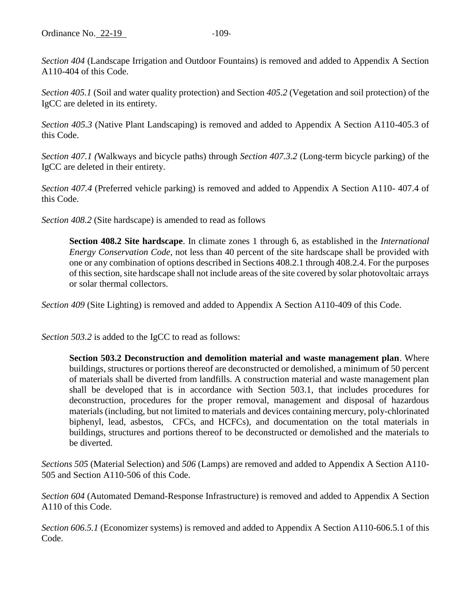*Section 404* (Landscape Irrigation and Outdoor Fountains) is removed and added to Appendix A Section A110-404 of this Code.

*Section 405.1* (Soil and water quality protection) and Section *405.2* (Vegetation and soil protection) of the IgCC are deleted in its entirety.

*Section 405.3* (Native Plant Landscaping) is removed and added to Appendix A Section A110-405.3 of this Code.

*Section 407.1 (*Walkways and bicycle paths) through *Section 407.3.2* (Long-term bicycle parking) of the IgCC are deleted in their entirety.

*Section 407.4* (Preferred vehicle parking) is removed and added to Appendix A Section A110- 407.4 of this Code.

*Section 408.2* (Site hardscape) is amended to read as follows

**Section 408.2 Site hardscape**. In climate zones 1 through 6, as established in the *International Energy Conservation Code*, not less than 40 percent of the site hardscape shall be provided with one or any combination of options described in Sections 408.2.1 through 408.2.4. For the purposes of this section, site hardscape shall not include areas of the site covered by solar photovoltaic arrays or solar thermal collectors.

*Section 409* (Site Lighting) is removed and added to Appendix A Section A110-409 of this Code.

*Section 503.2* is added to the IgCC to read as follows:

**Section 503.2 Deconstruction and demolition material and waste management plan**. Where buildings, structures or portions thereof are deconstructed or demolished, a minimum of 50 percent of materials shall be diverted from landfills. A construction material and waste management plan shall be developed that is in accordance with Section 503.1, that includes procedures for deconstruction, procedures for the proper removal, management and disposal of hazardous materials (including, but not limited to materials and devices containing mercury, poly-chlorinated biphenyl, lead, asbestos, CFCs, and HCFCs), and documentation on the total materials in buildings, structures and portions thereof to be deconstructed or demolished and the materials to be diverted.

*Sections 505* (Material Selection) and *506* (Lamps) are removed and added to Appendix A Section A110- 505 and Section A110-506 of this Code.

*Section 604* (Automated Demand-Response Infrastructure) is removed and added to Appendix A Section A110 of this Code.

*Section 606.5.1* (Economizer systems) is removed and added to Appendix A Section A110-606.5.1 of this Code.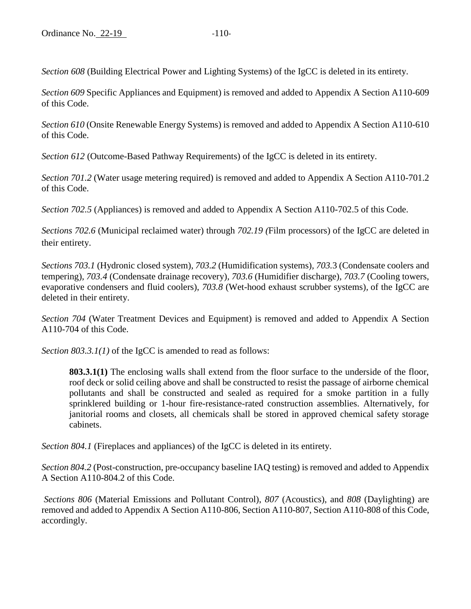*Section 608* (Building Electrical Power and Lighting Systems) of the IgCC is deleted in its entirety.

*Section 609* Specific Appliances and Equipment) is removed and added to Appendix A Section A110-609 of this Code.

*Section 610* (Onsite Renewable Energy Systems) is removed and added to Appendix A Section A110-610 of this Code.

*Section 612* (Outcome-Based Pathway Requirements) of the IgCC is deleted in its entirety.

*Section 701.2* (Water usage metering required) is removed and added to Appendix A Section A110-701.2 of this Code.

*Section 702.5* (Appliances) is removed and added to Appendix A Section A110-702.5 of this Code.

*Sections 702.6* (Municipal reclaimed water) through *702.19 (*Film processors) of the IgCC are deleted in their entirety.

*Sections 703.1* (Hydronic closed system)*, 703.2* (Humidification systems)*, 703.*3 (Condensate coolers and tempering)*, 703.4* (Condensate drainage recovery)*, 703.6* (Humidifier discharge)*, 703.7* (Cooling towers, evaporative condensers and fluid coolers), *703.8* (Wet-hood exhaust scrubber systems)*,* of the IgCC are deleted in their entirety.

*Section 704* (Water Treatment Devices and Equipment) is removed and added to Appendix A Section A110-704 of this Code.

*Section 803.3.1(1)* of the IgCC is amended to read as follows:

**803.3.1(1)** The enclosing walls shall extend from the floor surface to the underside of the floor, roof deck or solid ceiling above and shall be constructed to resist the passage of airborne chemical pollutants and shall be constructed and sealed as required for a smoke partition in a fully sprinklered building or 1-hour fire-resistance-rated construction assemblies. Alternatively, for janitorial rooms and closets, all chemicals shall be stored in approved chemical safety storage cabinets.

*Section 804.1* (Fireplaces and appliances) of the IgCC is deleted in its entirety.

*Section 804.2* (Post-construction, pre-occupancy baseline IAQ testing) is removed and added to Appendix A Section A110-804.2 of this Code.

*Sections 806* (Material Emissions and Pollutant Control), *807* (Acoustics), and *808* (Daylighting) are removed and added to Appendix A Section A110-806, Section A110-807, Section A110-808 of this Code, accordingly.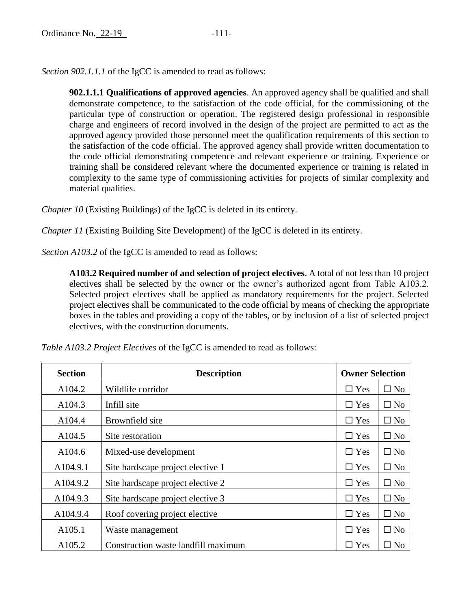*Section 902.1.1.1* of the IgCC is amended to read as follows:

**902.1.1.1 Qualifications of approved agencies**. An approved agency shall be qualified and shall demonstrate competence, to the satisfaction of the code official, for the commissioning of the particular type of construction or operation. The registered design professional in responsible charge and engineers of record involved in the design of the project are permitted to act as the approved agency provided those personnel meet the qualification requirements of this section to the satisfaction of the code official. The approved agency shall provide written documentation to the code official demonstrating competence and relevant experience or training. Experience or training shall be considered relevant where the documented experience or training is related in complexity to the same type of commissioning activities for projects of similar complexity and material qualities.

*Chapter 10* (Existing Buildings) of the IgCC is deleted in its entirety.

*Chapter 11* (Existing Building Site Development) of the IgCC is deleted in its entirety.

*Section A103.2* of the IgCC is amended to read as follows:

**A103.2 Required number of and selection of project electives**. A total of not less than 10 project electives shall be selected by the owner or the owner's authorized agent from Table A103.2. Selected project electives shall be applied as mandatory requirements for the project. Selected project electives shall be communicated to the code official by means of checking the appropriate boxes in the tables and providing a copy of the tables, or by inclusion of a list of selected project electives, with the construction documents.

| <b>Section</b> | <b>Description</b>                  | <b>Owner Selection</b> |              |
|----------------|-------------------------------------|------------------------|--------------|
| A104.2         | Wildlife corridor                   | $\Box$ Yes             | $\square$ No |
| A104.3         | Infill site                         | $\Box$ Yes             | $\square$ No |
| A104.4         | Brownfield site                     | $\Box$ Yes             | $\square$ No |
| A104.5         | Site restoration                    | $\Box$ Yes             | $\square$ No |
| A104.6         | Mixed-use development               | $\Box$ Yes             | $\square$ No |
| A104.9.1       | Site hardscape project elective 1   | $\Box$ Yes             | $\square$ No |
| A104.9.2       | Site hardscape project elective 2   | $\Box$ Yes             | $\square$ No |
| A104.9.3       | Site hardscape project elective 3   | $\Box$ Yes             | $\square$ No |
| A104.9.4       | Roof covering project elective      | $\Box$ Yes             | $\square$ No |
| A105.1         | Waste management                    | $\Box$ Yes             | $\square$ No |
| A105.2         | Construction waste landfill maximum | $\Box$ Yes             | $\square$ No |

*Table A103.2 Project Electives* of the IgCC is amended to read as follows: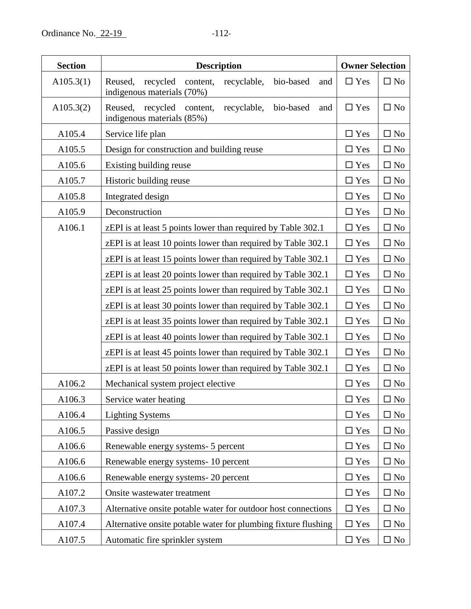| <b>Section</b> | <b>Description</b>                                                                               |               | <b>Owner Selection</b> |
|----------------|--------------------------------------------------------------------------------------------------|---------------|------------------------|
| A105.3(1)      | Reused, recycled<br>recyclable,<br>bio-based<br>content,<br>and<br>indigenous materials (70%)    | $\Box$ Yes    | $\square$ No           |
| A105.3(2)      | recycled<br>recyclable,<br>Reused,<br>content,<br>bio-based<br>and<br>indigenous materials (85%) | $\Box$ Yes    | $\square$ No           |
| A105.4         | Service life plan                                                                                | $\Box$ Yes    | $\square$ No           |
| A105.5         | Design for construction and building reuse                                                       | $\Box$ Yes    | $\Box$ No              |
| A105.6         | Existing building reuse                                                                          | $\square$ Yes | $\square$ No           |
| A105.7         | Historic building reuse                                                                          | $\square$ Yes | $\square$ No           |
| A105.8         | Integrated design                                                                                | $\Box$ Yes    | $\square$ No           |
| A105.9         | Deconstruction                                                                                   | $\Box$ Yes    | $\square$ No           |
| A106.1         | zEPI is at least 5 points lower than required by Table 302.1                                     | $\square$ Yes | $\square$ No           |
|                | zEPI is at least 10 points lower than required by Table 302.1                                    | $\square$ Yes | $\square$ No           |
|                | zEPI is at least 15 points lower than required by Table 302.1                                    | $\Box$ Yes    | $\square$ No           |
|                | zEPI is at least 20 points lower than required by Table 302.1                                    | $\square$ Yes | $\square$ No           |
|                | zEPI is at least 25 points lower than required by Table 302.1                                    | $\square$ Yes | $\square$ No           |
|                | zEPI is at least 30 points lower than required by Table 302.1                                    | $\Box$ Yes    | $\square$ No           |
|                | zEPI is at least 35 points lower than required by Table 302.1                                    | $\Box$ Yes    | $\square$ No           |
|                | zEPI is at least 40 points lower than required by Table 302.1                                    | $\square$ Yes | $\square$ No           |
|                | zEPI is at least 45 points lower than required by Table 302.1                                    | $\Box$ Yes    | $\square$ No           |
|                | zEPI is at least 50 points lower than required by Table 302.1                                    | $\Box$ Yes    | $\square$ No           |
| A106.2         | Mechanical system project elective                                                               | $\square$ Yes | $\square$ No           |
| A106.3         | Service water heating                                                                            | $\square$ Yes | $\square$ No           |
| A106.4         | <b>Lighting Systems</b>                                                                          | $\square$ Yes | $\square$ No           |
| A106.5         | Passive design                                                                                   | $\Box$ Yes    | $\square$ No           |
| A106.6         | Renewable energy systems- 5 percent                                                              | $\square$ Yes | $\square$ No           |
| A106.6         | Renewable energy systems- 10 percent                                                             | $\Box$ Yes    | $\square$ No           |
| A106.6         | Renewable energy systems- 20 percent                                                             | $\square$ Yes | $\square$ No           |
| A107.2         | Onsite wastewater treatment                                                                      | $\square$ Yes | $\square$ No           |
| A107.3         | Alternative onsite potable water for outdoor host connections                                    | $\square$ Yes | $\square$ No           |
| A107.4         | Alternative onsite potable water for plumbing fixture flushing                                   | $\square$ Yes | $\square$ No           |
| A107.5         | Automatic fire sprinkler system                                                                  | $\square$ Yes | $\square$ No           |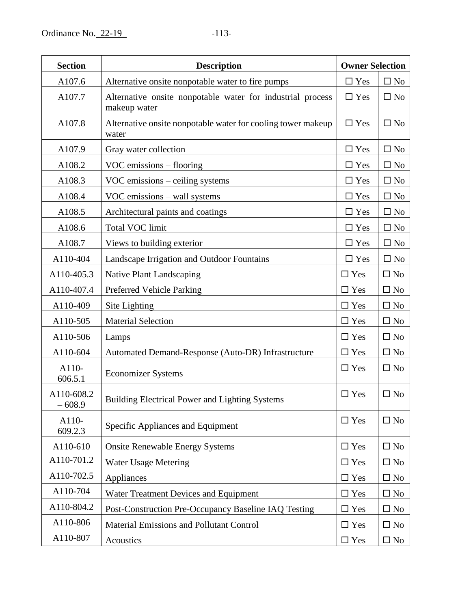| <b>Section</b>         | <b>Description</b>                                                         |               | <b>Owner Selection</b> |
|------------------------|----------------------------------------------------------------------------|---------------|------------------------|
| A107.6                 | Alternative onsite nonpotable water to fire pumps                          | $\square$ Yes | $\square$ No           |
| A107.7                 | Alternative onsite nonpotable water for industrial process<br>makeup water | $\Box$ Yes    | $\square$ No           |
| A107.8                 | Alternative onsite nonpotable water for cooling tower makeup<br>water      | $\Box$ Yes    | $\square$ No           |
| A107.9                 | Gray water collection                                                      | $\Box$ Yes    | $\square$ No           |
| A108.2                 | VOC emissions – flooring                                                   | $\square$ Yes | $\Box$ No              |
| A108.3                 | VOC emissions - ceiling systems                                            | $\Box$ Yes    | $\Box$ No              |
| A108.4                 | VOC emissions – wall systems                                               | $\Box$ Yes    | $\Box$ No              |
| A108.5                 | Architectural paints and coatings                                          | $\square$ Yes | $\square$ No           |
| A108.6                 | <b>Total VOC limit</b>                                                     | $\Box$ Yes    | $\square$ No           |
| A108.7                 | Views to building exterior                                                 | $\Box$ Yes    | $\square$ No           |
| A110-404               | Landscape Irrigation and Outdoor Fountains                                 | $\Box$ Yes    | $\square$ No           |
| A110-405.3             | <b>Native Plant Landscaping</b>                                            | $\Box$ Yes    | $\square$ No           |
| A110-407.4             | Preferred Vehicle Parking                                                  | $\Box$ Yes    | $\square$ No           |
| A110-409               | Site Lighting                                                              | $\Box$ Yes    | $\square$ No           |
| A110-505               | <b>Material Selection</b>                                                  | $\Box$ Yes    | $\square$ No           |
| A110-506               | Lamps                                                                      | $\Box$ Yes    | $\square$ No           |
| A110-604               | Automated Demand-Response (Auto-DR) Infrastructure                         | $\Box$ Yes    | $\square$ No           |
| A110-<br>606.5.1       | <b>Economizer Systems</b>                                                  | $\Box$ Yes    | $\Box$ No              |
| A110-608.2<br>$-608.9$ | <b>Building Electrical Power and Lighting Systems</b>                      | $\Box$ Yes    | $\square$ No           |
| A110-<br>609.2.3       | Specific Appliances and Equipment                                          | $\Box$ Yes    | $\square$ No           |
| A110-610               | <b>Onsite Renewable Energy Systems</b>                                     | $\Box$ Yes    | $\square$ No           |
| A110-701.2             | <b>Water Usage Metering</b>                                                | $\Box$ Yes    | $\square$ No           |
| A110-702.5             | Appliances                                                                 | $\Box$ Yes    | $\square$ No           |
| A110-704               | Water Treatment Devices and Equipment                                      | $\square$ Yes | $\square$ No           |
| A110-804.2             | Post-Construction Pre-Occupancy Baseline IAQ Testing                       | $\Box$ Yes    | $\square$ No           |
| A110-806               | Material Emissions and Pollutant Control                                   | $\square$ Yes | $\square$ No           |
| A110-807               | Acoustics                                                                  | $\square$ Yes | $\square$ No           |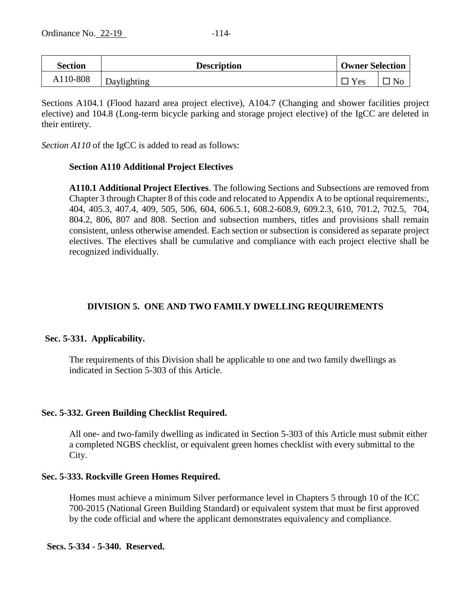| Section  | <b>Description</b> | <b>Owner Selection</b> |  |  |
|----------|--------------------|------------------------|--|--|
| A110-808 | Daylighting        | $v_{es}$               |  |  |

Sections A104.1 (Flood hazard area project elective), A104.7 (Changing and shower facilities project elective) and 104.8 (Long-term bicycle parking and storage project elective) of the IgCC are deleted in their entirety.

*Section A110* of the IgCC is added to read as follows:

## **Section A110 Additional Project Electives**

**A110.1 Additional Project Electives**. The following Sections and Subsections are removed from Chapter 3 through Chapter 8 of this code and relocated to Appendix A to be optional requirements:, 404, 405.3, 407.4, 409, 505, 506, 604, 606.5.1, 608.2-608.9, 609.2.3, 610, 701.2, 702.5, 704, 804.2, 806, 807 and 808. Section and subsection numbers, titles and provisions shall remain consistent, unless otherwise amended. Each section or subsection is considered as separate project electives. The electives shall be cumulative and compliance with each project elective shall be recognized individually.

# **DIVISION 5. ONE AND TWO FAMILY DWELLING REQUIREMENTS**

## **Sec. 5-331. Applicability.**

The requirements of this Division shall be applicable to one and two family dwellings as indicated in Section 5-303 of this Article.

## **Sec. 5-332. Green Building Checklist Required.**

All one- and two-family dwelling as indicated in Section 5-303 of this Article must submit either a completed NGBS checklist, or equivalent green homes checklist with every submittal to the City.

## **Sec. 5-333. Rockville Green Homes Required.**

Homes must achieve a minimum Silver performance level in Chapters 5 through 10 of the ICC 700-2015 (National Green Building Standard) or equivalent system that must be first approved by the code official and where the applicant demonstrates equivalency and compliance.

## **Secs. 5-334 - 5-340. Reserved.**